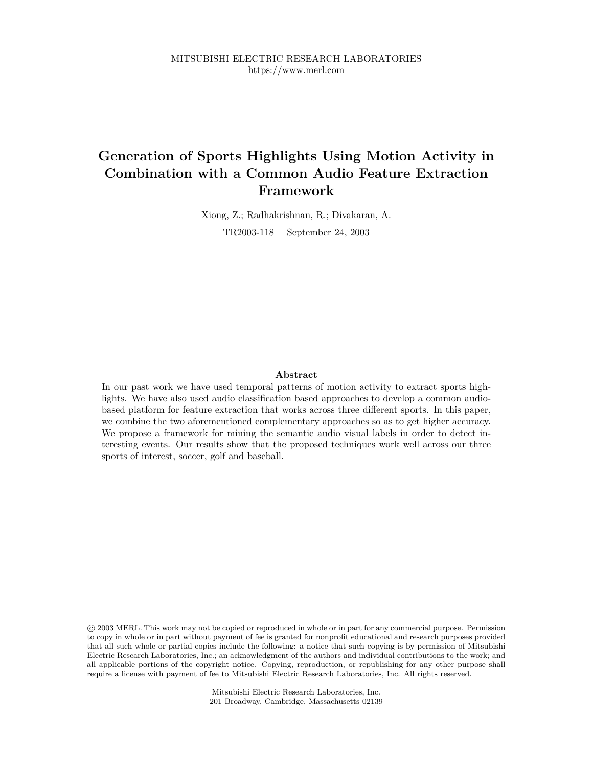MITSUBISHI ELECTRIC RESEARCH LABORATORIES https://www.merl.com

# **Generation of Sports Highlights Using Motion Activity in Combination with a Common Audio Feature Extraction Framework**

Xiong, Z.; Radhakrishnan, R.; Divakaran, A. TR2003-118 September 24, 2003

#### **Abstract**

In our past work we have used temporal patterns of motion activity to extract sports highlights. We have also used audio classification based approaches to develop a common audiobased platform for feature extraction that works across three different sports. In this paper, we combine the two aforementioned complementary approaches so as to get higher accuracy. We propose a framework for mining the semantic audio visual labels in order to detect interesting events. Our results show that the proposed techniques work well across our three sports of interest, soccer, golf and baseball.

 c 2003 MERL. This work may not be copied or reproduced in whole or in part for any commercial purpose. Permission to copy in whole or in part without payment of fee is granted for nonprofit educational and research purposes provided that all such whole or partial copies include the following: a notice that such copying is by permission of Mitsubishi Electric Research Laboratories, Inc.; an acknowledgment of the authors and individual contributions to the work; and all applicable portions of the copyright notice. Copying, reproduction, or republishing for any other purpose shall require a license with payment of fee to Mitsubishi Electric Research Laboratories, Inc. All rights reserved.

> Mitsubishi Electric Research Laboratories, Inc. 201 Broadway, Cambridge, Massachusetts 02139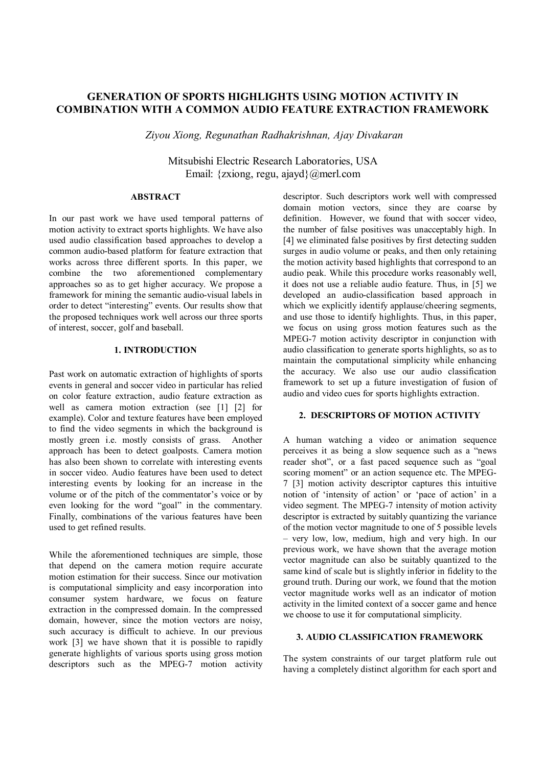## **GENERATION OF SPORTS HIGHLIGHTS USING MOTION ACTIVITY IN COMBINATION WITH A COMMON AUDIO FEATURE EXTRACTION FRAMEWORK**

 *Ziyou Xiong, Regunathan Radhakrishnan, Ajay Divakaran* 

Mitsubishi Electric Research Laboratories, USA Email: {zxiong, regu, ajayd}@merl.com

### **ABSTRACT**

In our past work we have used temporal patterns of motion activity to extract sports highlights. We have also used audio classification based approaches to develop a common audio-based platform for feature extraction that works across three different sports. In this paper, we combine the two aforementioned complementary approaches so as to get higher accuracy. We propose a framework for mining the semantic audio-visual labels in order to detect "interesting" events. Our results show that the proposed techniques work well across our three sports of interest, soccer, golf and baseball.

### **1. INTRODUCTION**

Past work on automatic extraction of highlights of sports events in general and soccer video in particular has relied on color feature extraction, audio feature extraction as well as camera motion extraction (see [1] [2] for example). Color and texture features have been employed to find the video segments in which the background is mostly green i.e. mostly consists of grass. Another approach has been to detect goalposts. Camera motion has also been shown to correlate with interesting events in soccer video. Audio features have been used to detect interesting events by looking for an increase in the volume or of the pitch of the commentator's voice or by even looking for the word "goal" in the commentary. Finally, combinations of the various features have been used to get refined results.

While the aforementioned techniques are simple, those that depend on the camera motion require accurate motion estimation for their success. Since our motivation is computational simplicity and easy incorporation into consumer system hardware, we focus on feature extraction in the compressed domain. In the compressed domain, however, since the motion vectors are noisy, such accuracy is difficult to achieve. In our previous work [3] we have shown that it is possible to rapidly generate highlights of various sports using gross motion descriptors such as the MPEG-7 motion activity

descriptor. Such descriptors work well with compressed domain motion vectors, since they are coarse by definition. However, we found that with soccer video. the number of false positives was unacceptably high. In [4] we eliminated false positives by first detecting sudden surges in audio volume or peaks, and then only retaining the motion activity based highlights that correspond to an audio peak. While this procedure works reasonably well, it does not use a reliable audio feature. Thus, in [5] we developed an audio-classification based approach in which we explicitly identify applause/cheering segments, and use those to identify highlights. Thus, in this paper, we focus on using gross motion features such as the MPEG-7 motion activity descriptor in conjunction with audio classification to generate sports highlights, so as to maintain the computational simplicity while enhancing the accuracy. We also use our audio classification framework to set up a future investigation of fusion of audio and video cues for sports highlights extraction.

### **2. DESCRIPTORS OF MOTION ACTIVITY**

A human watching a video or animation sequence perceives it as being a slow sequence such as a "news reader shot", or a fast paced sequence such as "goal scoring moment" or an action sequence etc. The MPEG-7 [3] motion activity descriptor captures this intuitive notion of 'intensity of action' or 'pace of action' in a video segment. The MPEG-7 intensity of motion activity descriptor is extracted by suitably quantizing the variance of the motion vector magnitude to one of 5 possible levels – very low, low, medium, high and very high. In our previous work, we have shown that the average motion vector magnitude can also be suitably quantized to the same kind of scale but is slightly inferior in fidelity to the ground truth. During our work, we found that the motion vector magnitude works well as an indicator of motion activity in the limited context of a soccer game and hence we choose to use it for computational simplicity.

### **3. AUDIO CLASSIFICATION FRAMEWORK**

The system constraints of our target platform rule out having a completely distinct algorithm for each sport and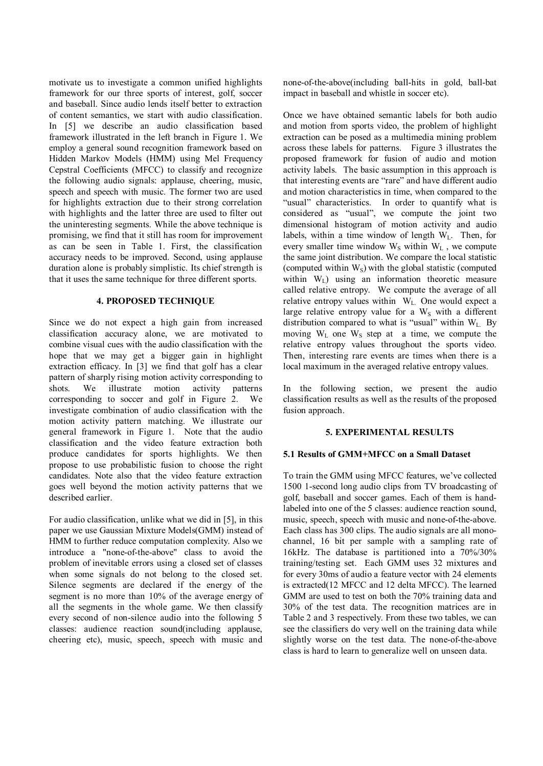motivate us to investigate a common unified highlights framework for our three sports of interest, golf, soccer and baseball. Since audio lends itself better to extraction of content semantics, we start with audio classification. In [5] we describe an audio classification based framework illustrated in the left branch in Figure 1. We employ a general sound recognition framework based on Hidden Markov Models (HMM) using Mel Frequency Cepstral Coefficients (MFCC) to classify and recognize the following audio signals: applause, cheering, music, speech and speech with music. The former two are used for highlights extraction due to their strong correlation with highlights and the latter three are used to filter out the uninteresting segments. While the above technique is promising, we find that it still has room for improvement as can be seen in Table 1. First, the classification accuracy needs to be improved. Second, using applause duration alone is probably simplistic. Its chief strength is that it uses the same technique for three different sports.

### **4. PROPOSED TECHNIQUE**

Since we do not expect a high gain from increased classification accuracy alone, we are motivated to combine visual cues with the audio classification with the hope that we may get a bigger gain in highlight extraction efficacy. In [3] we find that golf has a clear pattern of sharply rising motion activity corresponding to shots. We illustrate motion activity patterns corresponding to soccer and golf in Figure 2. We investigate combination of audio classification with the motion activity pattern matching. We illustrate our general framework in Figure 1. Note that the audio classification and the video feature extraction both produce candidates for sports highlights. We then propose to use probabilistic fusion to choose the right candidates. Note also that the video feature extraction goes well beyond the motion activity patterns that we described earlier.

For audio classification, unlike what we did in [5], in this paper we use Gaussian Mixture Models(GMM) instead of HMM to further reduce computation complexity. Also we introduce a "none-of-the-above" class to avoid the problem of inevitable errors using a closed set of classes when some signals do not belong to the closed set. Silence segments are declared if the energy of the segment is no more than 10% of the average energy of all the segments in the whole game. We then classify every second of non-silence audio into the following 5 classes: audience reaction sound(including applause, cheering etc), music, speech, speech with music and

none-of-the-above(including ball-hits in gold, ball-bat impact in baseball and whistle in soccer etc).

Once we have obtained semantic labels for both audio and motion from sports video, the problem of highlight extraction can be posed as a multimedia mining problem across these labels for patterns. Figure 3 illustrates the proposed framework for fusion of audio and motion activity labels. The basic assumption in this approach is that interesting events are "rare" and have different audio and motion characteristics in time, when compared to the "usual" characteristics. In order to quantify what is considered as "usual", we compute the joint two dimensional histogram of motion activity and audio labels, within a time window of length  $W_L$ . Then, for every smaller time window  $W<sub>S</sub>$  within  $W<sub>L</sub>$ , we compute the same joint distribution. We compare the local statistic (computed within  $W_s$ ) with the global statistic (computed within  $W<sub>L</sub>$ ) using an information theoretic measure called relative entropy. We compute the average of all relative entropy values within  $W<sub>L</sub>$  One would expect a large relative entropy value for a  $W<sub>S</sub>$  with a different distribution compared to what is "usual" within  $W_L$ . By moving  $W_L$  one  $W_S$  step at a time, we compute the relative entropy values throughout the sports video. Then, interesting rare events are times when there is a local maximum in the averaged relative entropy values.

In the following section, we present the audio classification results as well as the results of the proposed fusion approach.

### **5. EXPERIMENTAL RESULTS**

### **5.1 Results of GMM+MFCC on a Small Dataset**

To train the GMM using MFCC features, we've collected 1500 1-second long audio clips from TV broadcasting of golf, baseball and soccer games. Each of them is handlabeled into one of the 5 classes: audience reaction sound, music, speech, speech with music and none-of-the-above. Each class has 300 clips. The audio signals are all monochannel, 16 bit per sample with a sampling rate of 16kHz. The database is partitioned into a 70%/30% training/testing set. Each GMM uses 32 mixtures and for every 30ms of audio a feature vector with 24 elements is extracted(12 MFCC and 12 delta MFCC). The learned GMM are used to test on both the 70% training data and 30% of the test data. The recognition matrices are in Table 2 and 3 respectively. From these two tables, we can see the classifiers do very well on the training data while slightly worse on the test data. The none-of-the-above class is hard to learn to generalize well on unseen data.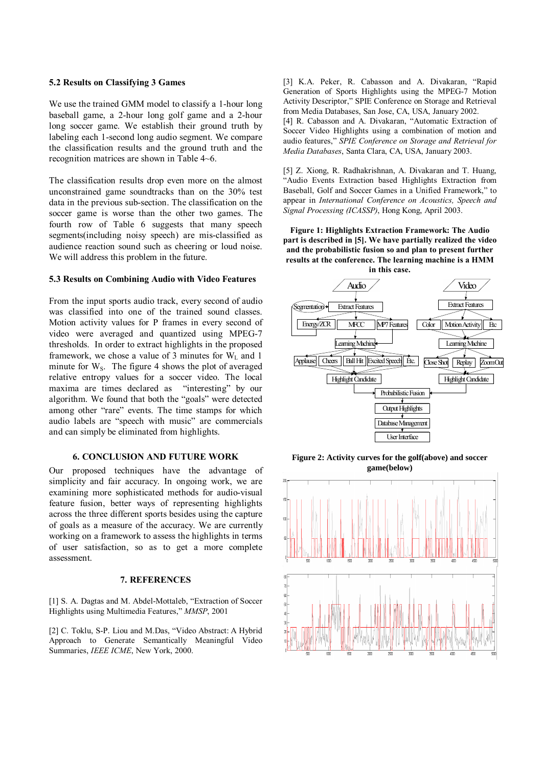#### **5.2 Results on Classifying 3 Games**

We use the trained GMM model to classify a 1-hour long baseball game, a 2-hour long golf game and a 2-hour long soccer game. We establish their ground truth by labeling each 1-second long audio segment. We compare the classification results and the ground truth and the recognition matrices are shown in Table 4~6.

The classification results drop even more on the almost unconstrained game soundtracks than on the 30% test data in the previous sub-section. The classification on the soccer game is worse than the other two games. The fourth row of Table 6 suggests that many speech segments(including noisy speech) are mis-classified as audience reaction sound such as cheering or loud noise. We will address this problem in the future.

#### **5.3 Results on Combining Audio with Video Features**

From the input sports audio track, every second of audio was classified into one of the trained sound classes. Motion activity values for P frames in every second of video were averaged and quantized using MPEG-7 thresholds. In order to extract highlights in the proposed framework, we chose a value of 3 minutes for  $W<sub>L</sub>$  and 1 minute for  $W_s$ . The figure 4 shows the plot of averaged relative entropy values for a soccer video. The local maxima are times declared as "interesting" by our algorithm. We found that both the "goals" were detected among other "rare" events. The time stamps for which audio labels are "speech with music" are commercials and can simply be eliminated from highlights.

#### **6. CONCLUSION AND FUTURE WORK**

Our proposed techniques have the advantage of simplicity and fair accuracy. In ongoing work, we are examining more sophisticated methods for audio-visual feature fusion, better ways of representing highlights across the three different sports besides using the capture of goals as a measure of the accuracy. We are currently working on a framework to assess the highlights in terms of user satisfaction, so as to get a more complete assessment.

#### **7. REFERENCES**

[1] S. A. Dagtas and M. Abdel-Mottaleb, "Extraction of Soccer Highlights using Multimedia Features," *MMSP*, 2001

[2] C. Toklu, S-P. Liou and M.Das, "Video Abstract: A Hybrid Approach to Generate Semantically Meaningful Video Summaries, *IEEE ICME*, New York, 2000.

[3] K.A. Peker, R. Cabasson and A. Divakaran, "Rapid Generation of Sports Highlights using the MPEG-7 Motion Activity Descriptor," SPIE Conference on Storage and Retrieval from Media Databases, San Jose, CA, USA, January 2002. [4] R. Cabasson and A. Divakaran, "Automatic Extraction of Soccer Video Highlights using a combination of motion and audio features," *SPIE Conference on Storage and Retrieval for Media Databases*, Santa Clara, CA, USA, January 2003.

[5] Z. Xiong, R. Radhakrishnan, A. Divakaran and T. Huang, "Audio Events Extraction based Highlights Extraction from Baseball, Golf and Soccer Games in a Unified Framework," to appear in *International Conference on Acoustics, Speech and Signal Processing (ICASSP)*, Hong Kong, April 2003.

**Figure 1: Highlights Extraction Framework: The Audio part is described in [5]. We have partially realized the video and the probabilistic fusion so and plan to present further results at the conference. The learning machine is a HMM** 



**Figure 2: Activity curves for the golf(above) and soccer game(below)**